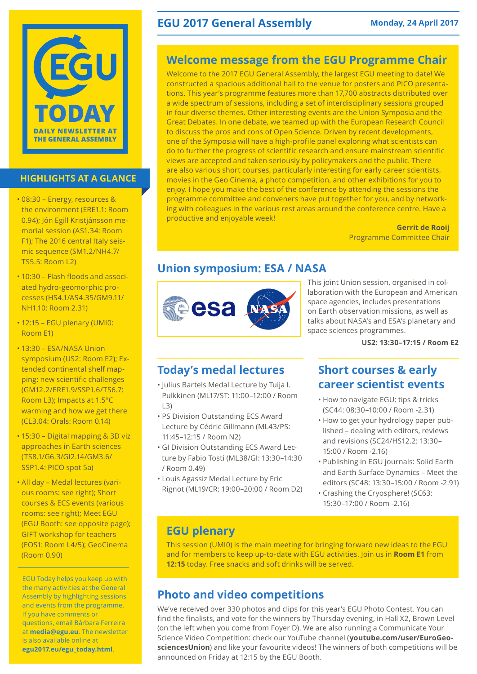

### **HIGHLIGHTS AT A GLANCE**

- 08:30 Energy, resources & the environment (ERE1.1: Room 0.94); Jón Egill Kristjánsson memorial session (AS1.34: Room F1); The 2016 central Italy seismic sequence (SM1.2/NH4.7/ TS5.5: Room L2)
- 10:30 Flash floods and associated hydro-geomorphic processes (HS4.1/AS4.35/GM9.11/ NH1.10: Room 2.31)
- 12:15 EGU plenary (UMI0: Room E1)
- 13:30 ESA/NASA Union symposium (US2: Room E2); Extended continental shelf mapping: new scientific challenges (GM12.2/ERE1.9/SSP1.6/TS6.7: Room L3); Impacts at 1.5°C warming and how we get there (CL3.04: Orals: Room 0.14)
- 15:30 Digital mapping & 3D viz approaches in Earth sciences (TS8.1/G6.3/GI2.14/GM3.6/ SSP1.4: PICO spot 5a)
- All day Medal lectures (various rooms: see right); Short courses & ECS events (various rooms: see right); Meet EGU (EGU Booth: see opposite page); GIFT workshop for teachers (EOS1: Room L4/5); GeoCinema (Room 0.90)

EGU Today helps you keep up with the many activities at the General Assembly by highlighting sessions and events from the programme. If you have comments or questions, email Bárbara Ferreira at **media@egu.eu**. The newsletter is also available online at **egu2017.eu/egu\_today.html**.

## **EGU 2017 General Assembly Monday, 24 April 2017**

## **Welcome message from the EGU Programme Chair**

Welcome to the 2017 EGU General Assembly, the largest EGU meeting to date! We constructed a spacious additional hall to the venue for posters and PICO presentations. This year's programme features more than 17,700 abstracts distributed over a wide spectrum of sessions, including a set of interdisciplinary sessions grouped in four diverse themes. Other interesting events are the Union Symposia and the Great Debates. In one debate, we teamed up with the European Research Council to discuss the pros and cons of Open Science. Driven by recent developments, one of the Symposia will have a high-profile panel exploring what scientists can do to further the progress of scientific research and ensure mainstream scientific views are accepted and taken seriously by policymakers and the public. There are also various short courses, particularly interesting for early career scientists, movies in the Geo Cinema, a photo competition, and other exhibitions for you to enjoy. I hope you make the best of the conference by attending the sessions the programme committee and conveners have put together for you, and by networking with colleagues in the various rest areas around the conference centre. Have a productive and enjoyable week!

**Gerrit de Rooij** Programme Committee Chair

## **Union symposium: ESA / NASA**



This joint Union session, organised in collaboration with the European and American space agencies, includes presentations on Earth observation missions, as well as talks about NASA's and ESA's planetary and space sciences programmes.

**US2: 13:30–17:15 / Room E2** 

## **Today's medal lectures**

- Julius Bartels Medal Lecture by Tuija I. Pulkkinen (ML17/ST: 11:00–12:00 / Room L3)
- PS Division Outstanding ECS Award Lecture by Cédric Gillmann (ML43/PS: 11:45–12:15 / Room N2)
- GI Division Outstanding ECS Award Lecture by Fabio Tosti (ML38/GI: 13:30–14:30 / Room 0.49)
- Louis Agassiz Medal Lecture by Eric Rignot (ML19/CR: 19:00–20:00 / Room D2)

## **Short courses & early career scientist events**

- How to navigate EGU: tips & tricks (SC44: 08:30–10:00 / Room -2.31)
- How to get your hydrology paper published – dealing with editors, reviews and revisions (SC24/HS12.2: 13:30– 15:00 / Room -2.16)
- Publishing in EGU journals: Solid Earth and Earth Surface Dynamics – Meet the editors (SC48: 13:30–15:00 / Room -2.91)
- Crashing the Cryosphere! (SC63: 15:30–17:00 / Room -2.16)

## **EGU plenary**

This session (UMI0) is the main meeting for bringing forward new ideas to the EGU and for members to keep up-to-date with EGU activities. Join us in **Room E1** from **12:15** today. Free snacks and soft drinks will be served.

## **Photo and video competitions**

We've received over 330 photos and clips for this year's EGU Photo Contest. You can find the finalists, and vote for the winners by Thursday evening, in Hall X2, Brown Level (on the left when you come from Foyer D). We are also running a Communicate Your Science Video Competition: check our YouTube channel (**youtube.com/user/EuroGeosciencesUnion**) and like your favourite videos! The winners of both competitions will be announced on Friday at 12:15 by the EGU Booth.